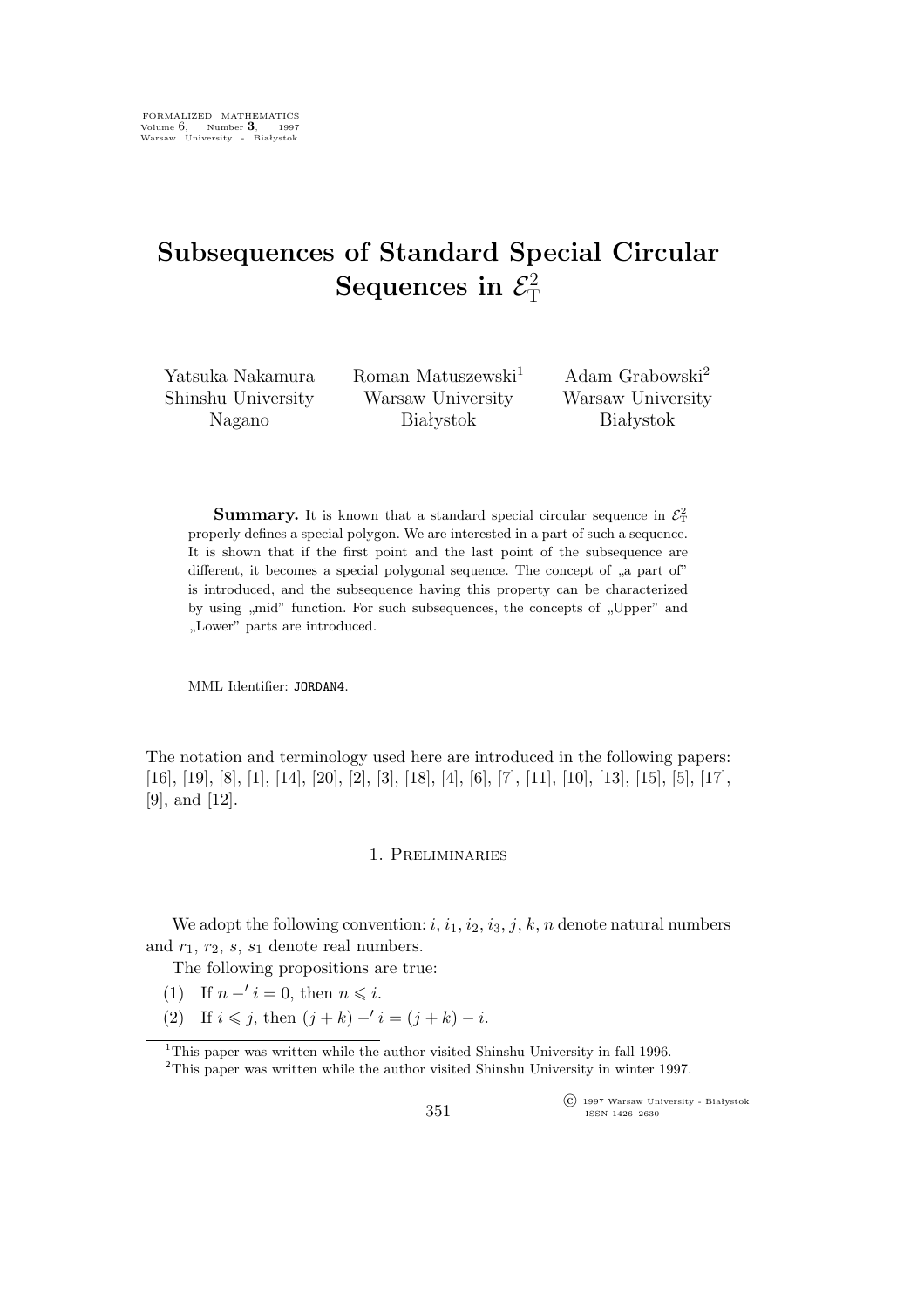# **Subsequences of Standard Special Circular Sequences in** *E* 2 T

Yatsuka Nakamura Shinshu University Nagano

Roman Matuszewski<sup>1</sup> Warsaw University Białystok

Adam Grabowski<sup>2</sup> Warsaw University Białystok

**Summary.** It is known that a standard special circular sequence in  $\mathcal{E}_{\rm T}^2$ properly defines a special polygon. We are interested in a part of such a sequence. It is shown that if the first point and the last point of the subsequence are different, it becomes a special polygonal sequence. The concept of  $\alpha$  part of is introduced, and the subsequence having this property can be characterized by using ,,mid" function. For such subsequences, the concepts of "Upper" and "Lower" parts are introduced.

MML Identifier: JORDAN4.

The notation and terminology used here are introduced in the following papers: [16], [19], [8], [1], [14], [20], [2], [3], [18], [4], [6], [7], [11], [10], [13], [15], [5], [17], [9], and [12].

#### 1. Preliminaries

We adopt the following convention:  $i, i_1, i_2, i_3, j, k, n$  denote natural numbers and  $r_1$ ,  $r_2$ ,  $s$ ,  $s_1$  denote real numbers.

The following propositions are true:

- (1) If  $n 'i = 0$ , then  $n \leq i$ .
- (2) If  $i \leq j$ , then  $(j + k) 'i = (j + k) i$ .

<sup>1</sup>This paper was written while the author visited Shinshu University in fall 1996.

<sup>2</sup>This paper was written while the author visited Shinshu University in winter 1997.

°c 1997 Warsaw University - Białystok ISSN 1426–2630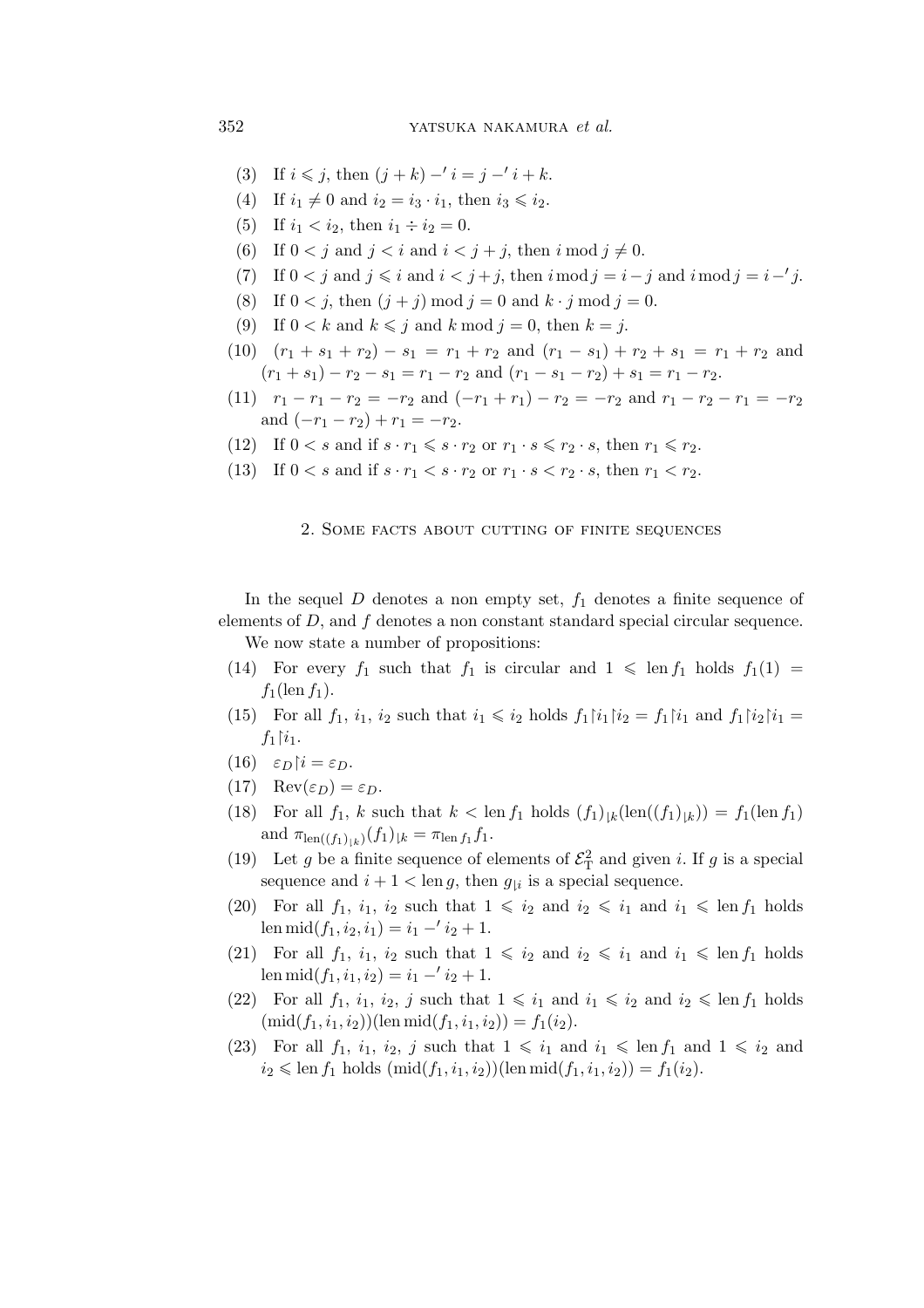## 352 yatsuka nakamura *et al.*

- (3) If  $i \le j$ , then  $(j + k) 1 = j 1 + k$ .
- (4) If  $i_1 \neq 0$  and  $i_2 = i_3 \cdot i_1$ , then  $i_3 \leq i_2$ .
- (5) If  $i_1 < i_2$ , then  $i_1 \div i_2 = 0$ .
- (6) If  $0 < j$  and  $j < i$  and  $i < j + j$ , then  $i \mod j \neq 0$ .
- (7) If  $0 < j$  and  $j \leq i$  and  $i < j + j$ , then  $i \mod j = i j$  and  $i \mod j = i j$ .
- (8) If  $0 \leq j$ , then  $(j + j) \mod j = 0$  and  $k \cdot j \mod j = 0$ .
- (9) If  $0 < k$  and  $k \leq j$  and  $k \mod j = 0$ , then  $k = j$ .
- (10)  $(r_1 + s_1 + r_2) s_1 = r_1 + r_2$  and  $(r_1 s_1) + r_2 + s_1 = r_1 + r_2$  and  $(r_1 + s_1) - r_2 - s_1 = r_1 - r_2$  and  $(r_1 - s_1 - r_2) + s_1 = r_1 - r_2$ .
- (11)  $r_1 r_1 r_2 = -r_2$  and  $(-r_1 + r_1) r_2 = -r_2$  and  $r_1 r_2 r_1 = -r_2$ and  $(-r_1 - r_2) + r_1 = -r_2$ .
- (12) If  $0 < s$  and if  $s \cdot r_1 \leqslant s \cdot r_2$  or  $r_1 \cdot s \leqslant r_2 \cdot s$ , then  $r_1 \leqslant r_2$ .
- (13) If  $0 \leq s$  and if  $s \cdot r_1 \leq s \cdot r_2$  or  $r_1 \cdot s \leq r_2 \cdot s$ , then  $r_1 \leq r_2$ .

#### 2. Some facts about cutting of finite sequences

In the sequel  $D$  denotes a non empty set,  $f_1$  denotes a finite sequence of elements of  $D$ , and  $f$  denotes a non constant standard special circular sequence. We now state a number of propositions:

- (14) For every  $f_1$  such that  $f_1$  is circular and  $1 \leq \text{len } f_1$  holds  $f_1(1) =$  $f_1(\text{len } f_1).$
- (15) For all  $f_1$ ,  $i_1$ ,  $i_2$  such that  $i_1 \leq i_2$  holds  $f_1 \mid i_1 \mid i_2 = f_1 \mid i_1$  and  $f_1 \mid i_2 \mid i_1 =$  $f_1|i_1.$
- (16)  $\varepsilon_D |i = \varepsilon_D$ .
- (17)  $\operatorname{Rev}(\varepsilon_D) = \varepsilon_D$ .
- (18) For all  $f_1$ , k such that  $k < \text{len } f_1$  holds  $(f_1)_{\lfloor k}(\text{len}((f_1)_{\lfloor k})) = f_1(\text{len } f_1)$ and  $\pi_{len((f_1)_{|k})}(f_1)_{|k} = \pi_{len f_1} f_1.$
- (19) Let g be a finite sequence of elements of  $\mathcal{E}_{\rm T}^2$  and given i. If g is a special sequence and  $i + 1 < \text{len } g$ , then  $g_{\vert i}$  is a special sequence.
- (20) For all  $f_1$ ,  $i_1$ ,  $i_2$  such that  $1 \leq i_2$  and  $i_2 \leq i_1$  and  $i_1 \leq \text{len } f_1$  holds len mid $(f_1, i_2, i_1) = i_1 - i_2 + 1.$
- (21) For all  $f_1$ ,  $i_1$ ,  $i_2$  such that  $1 \leq i_2$  and  $i_2 \leq i_1$  and  $i_1 \leq \text{len } f_1$  holds len mid $(f_1, i_1, i_2) = i_1 - i_2 + 1$ .
- (22) For all  $f_1$ ,  $i_1$ ,  $i_2$ , j such that  $1 \leq i_1$  and  $i_1 \leq i_2$  and  $i_2 \leq \text{len } f_1$  holds  $(\text{mid}(f_1,i_1,i_2))$ (len mid $(f_1,i_1,i_2)) = f_1(i_2)$ .
- (23) For all  $f_1$ ,  $i_1$ ,  $i_2$ ,  $j$  such that  $1 \leq i_1$  and  $i_1 \leq \text{len } f_1$  and  $1 \leq i_2$  and  $i_2 \leq \text{len } f_1 \text{ holds } (\text{mid}(f_1, i_1, i_2))(\text{len mid}(f_1, i_1, i_2)) = f_1(i_2).$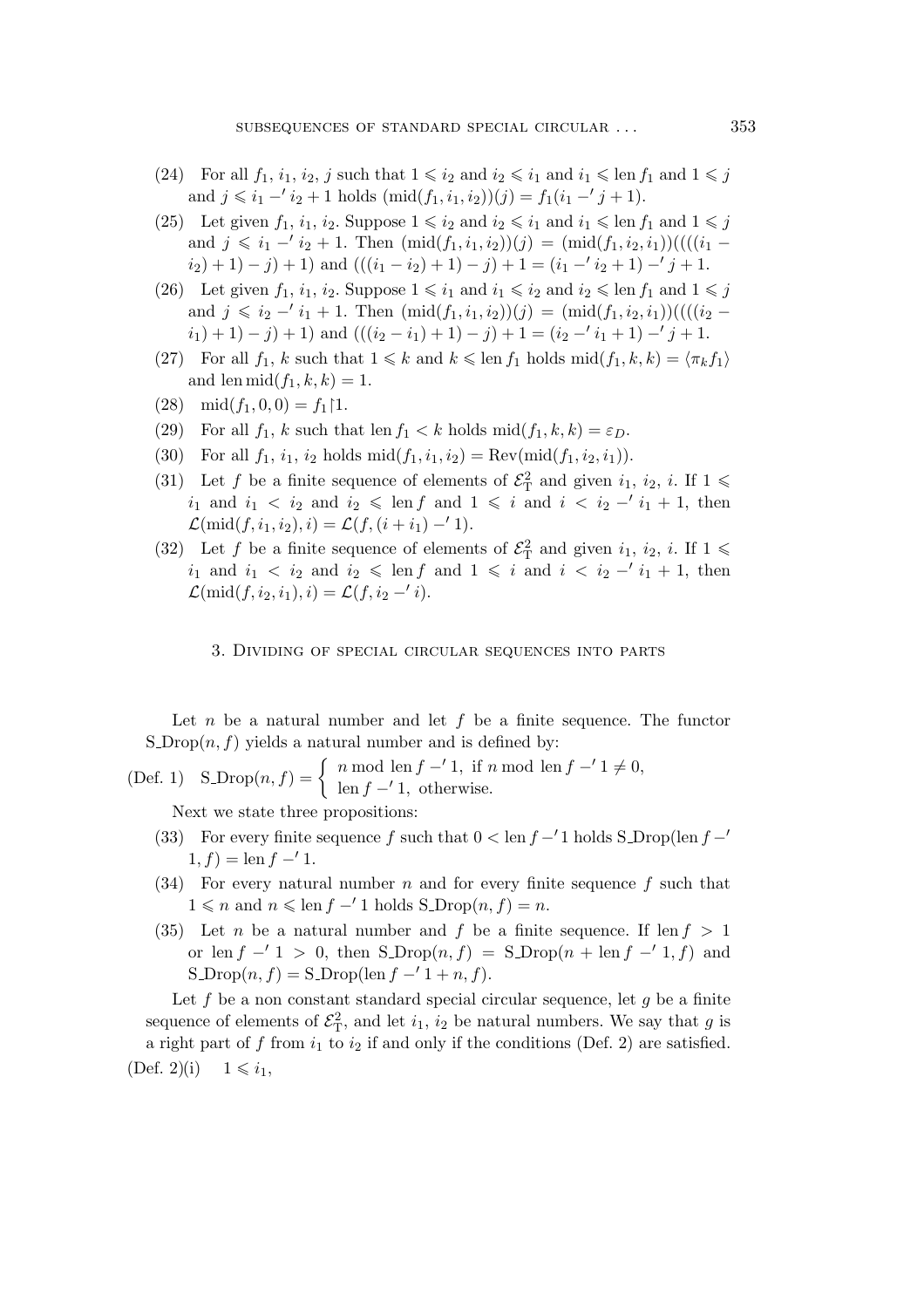- (24) For all  $f_1$ ,  $i_1$ ,  $i_2$ ,  $j$  such that  $1 \leq i_2$  and  $i_2 \leq i_1$  and  $i_1 \leq \text{len } f_1$  and  $1 \leq j$ and  $j \leq i_1 - i_2 + 1$  holds  $(\text{mid}(f_1, i_1, i_2))(j) = f_1(i_1 - j + 1)$ .
- (25) Let given  $f_1$ ,  $i_1$ ,  $i_2$ . Suppose  $1 \leq i_2$  and  $i_2 \leq i_1$  and  $i_1 \leq \text{len } f_1$  and  $1 \leq i_2$ and  $j \leq i_1 -' i_2 + 1$ . Then  $(\text{mid}(f_1, i_1, i_2))(j) = (\text{mid}(f_1, i_2, i_1))(((i_1 (i_2) + 1) - j$  + 1) and  $(((i_1 - i_2) + 1) - j) + 1 = (i_1 - i_2 + 1) - j + 1$ .
- (26) Let given  $f_1$ ,  $i_1$ ,  $i_2$ . Suppose  $1 \leq i_1$  and  $i_1 \leq i_2$  and  $i_2 \leq \text{len } f_1$  and  $1 \leq j$ and  $j \leq i_2 -' i_1 + 1$ . Then  $(\text{mid}(f_1, i_1, i_2))(j) = (\text{mid}(f_1, i_2, i_1))(((i_2 (i_1) + 1) - j$  + 1) and  $(((i_2 - i_1) + 1) - j) + 1 = (i_2 - i_1 + 1) - j + 1$ .
- (27) For all  $f_1$ , k such that  $1 \leq k$  and  $k \leq \text{len } f_1$  holds mid $(f_1, k, k) = \langle \pi_k f_1 \rangle$ and len mid $(f_1, k, k) = 1$ .
- $(28) \text{ mid}(f_1, 0, 0) = f_1 \upharpoonright 1.$
- (29) For all  $f_1$ , k such that len  $f_1 < k$  holds mid $(f_1, k, k) = \varepsilon_D$ .
- (30) For all  $f_1, i_1, i_2$  holds  $mid(f_1, i_1, i_2) = Rev(md(f_1, i_2, i_1)).$
- (31) Let f be a finite sequence of elements of  $\mathcal{E}_{\rm T}^2$  and given  $i_1, i_2, i$ . If  $1 \leq$  $i_1$  and  $i_1 < i_2$  and  $i_2 \le \text{len } f$  and  $1 \le i$  and  $i < i_2 - i_1 + 1$ , then  $\mathcal{L}(\text{mid}(f, i_1, i_2), i) = \mathcal{L}(f, (i + i_1) - 1).$
- (32) Let f be a finite sequence of elements of  $\mathcal{E}_{\rm T}^2$  and given  $i_1, i_2, i$ . If  $1 \leq$  $i_1$  and  $i_1 < i_2$  and  $i_2 \leq \text{len } f$  and  $1 \leq i$  and  $i < i_2 - i_1 + 1$ , then  $\mathcal{L}(\text{mid}(f, i_2, i_1), i) = \mathcal{L}(f, i_2 - 'i).$

#### 3. Dividing of special circular sequences into parts

Let  $n$  be a natural number and let  $f$  be a finite sequence. The functor  $S\text{-}\mathrm{Drop}(n, f)$  yields a natural number and is defined by:

(Def. 1) 
$$
S\_Drop(n, f) = \begin{cases} n \mod \text{len } f - 1, & \text{if } n \mod \text{len } f - 1 \neq 0, \\ \text{len } f - 1, & \text{otherwise.} \end{cases}
$$

Next we state three propositions:

- (33) For every finite sequence f such that  $0 < \text{len } f f$  holds S\_Drop(len  $f f$  $1, f$ ) = len  $f - 1$ .
- (34) For every natural number n and for every finite sequence f such that  $1 ≤ n$  and  $n ≤ \text{len } f - '1$  holds  $S\_Drop(n, f) = n$ .
- (35) Let *n* be a natural number and *f* be a finite sequence. If len  $f > 1$ or len  $f - 1 > 0$ , then S\_Drop $(n, f) =$  S\_Drop $(n + \ln f - 1, f)$  and  $S\_Drop(n, f) = S\_Drop(len f - '1 + n, f).$

Let f be a non constant standard special circular sequence, let g be a finite sequence of elements of  $\mathcal{E}_T^2$ , and let  $i_1$ ,  $i_2$  be natural numbers. We say that g is a right part of  $f$  from  $i_1$  to  $i_2$  if and only if the conditions (Def. 2) are satisfied.  $(\text{Def. 2})(i) \quad 1 \leq i_1,$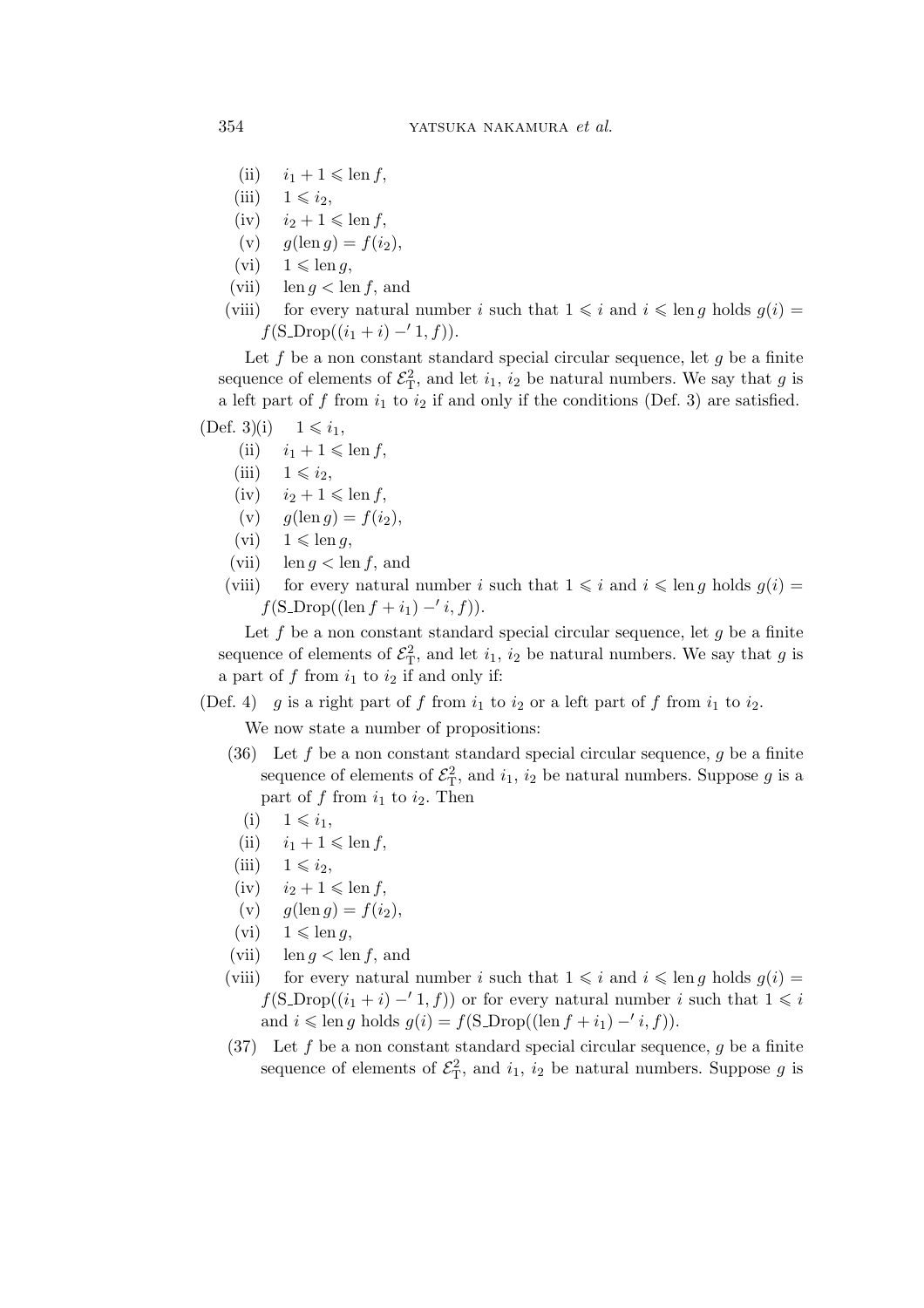- (ii)  $i_1 + 1 \leqslant \text{len } f,$
- $(iii)$   $1 \leq i_2$ ,
- $(iv)$   $i_2 + 1 \leqslant \text{len } f,$
- (v)  $g(\text{len } g) = f(i_2),$
- $(vi)$   $1 \leqslant \text{len } q$ ,
- (vii) len  $q <$  len  $f$ , and
- (viii) for every natural number i such that  $1 \leq i$  and  $i \leq \text{len } g$  holds  $g(i) =$  $f(S \text{. Drop}((i_1 + i) - 1, f)).$

Let f be a non constant standard special circular sequence, let  $q$  be a finite sequence of elements of  $\mathcal{E}_T^2$ , and let  $i_1$ ,  $i_2$  be natural numbers. We say that g is a left part of f from  $i_1$  to  $i_2$  if and only if the conditions (Def. 3) are satisfied.

$$
(\text{Def. 3})(i) \quad 1 \leq i_1,
$$

- (ii)  $i_1 + 1 \leqslant \text{len } f$ ,
- $(iii)$   $1 \leq i_2$ ,
- $(iv)$   $i_2 + 1 \leqslant \text{len } f,$
- (v)  $q(\text{len } q) = f(i_2),$
- $(vi)$   $1 \leqslant \text{len } a$ ,
- (vii) len  $q < \text{len } f$ , and
- (viii) for every natural number i such that  $1 \leq i$  and  $i \leq \text{len } g$  holds  $g(i) =$  $f(\text{S\_Drop}((\text{len } f + i_1) - i, f)).$

Let f be a non constant standard special circular sequence, let  $g$  be a finite sequence of elements of  $\mathcal{E}_T^2$ , and let  $i_1$ ,  $i_2$  be natural numbers. We say that g is a part of  $f$  from  $i_1$  to  $i_2$  if and only if:

(Def. 4) g is a right part of f from  $i_1$  to  $i_2$  or a left part of f from  $i_1$  to  $i_2$ .

We now state a number of propositions:

- (36) Let  $f$  be a non constant standard special circular sequence,  $g$  be a finite sequence of elements of  $\mathcal{E}_T^2$ , and  $i_1$ ,  $i_2$  be natural numbers. Suppose g is a part of f from  $i_1$  to  $i_2$ . Then
	- $(i)$   $1 \leq i_1$ ,
	- (ii)  $i_1 + 1 \leqslant \text{len } f,$
- $(iii)$   $1 \leq i_2$ ,
- $(iv)$   $i_2 + 1 \leqslant \text{len } f,$
- (v)  $q(\text{len } q) = f(i_2),$
- $(vi)$   $1 \leqslant \text{len } q$ ,
- (vii) len  $q < \text{len } f$ , and
- (viii) for every natural number i such that  $1 \leq i$  and  $i \leq \text{len } q$  holds  $q(i) =$  $f(\text{S-Drop}((i_1 + i) - 1, f))$  or for every natural number i such that  $1 \leq i$ and  $i \leqslant \text{len } g$  holds  $g(i) = f(\text{S\_Drop}((\text{len } f + i_1) - i, f)).$
- (37) Let f be a non constant standard special circular sequence, g be a finite sequence of elements of  $\mathcal{E}_T^2$ , and  $i_1$ ,  $i_2$  be natural numbers. Suppose g is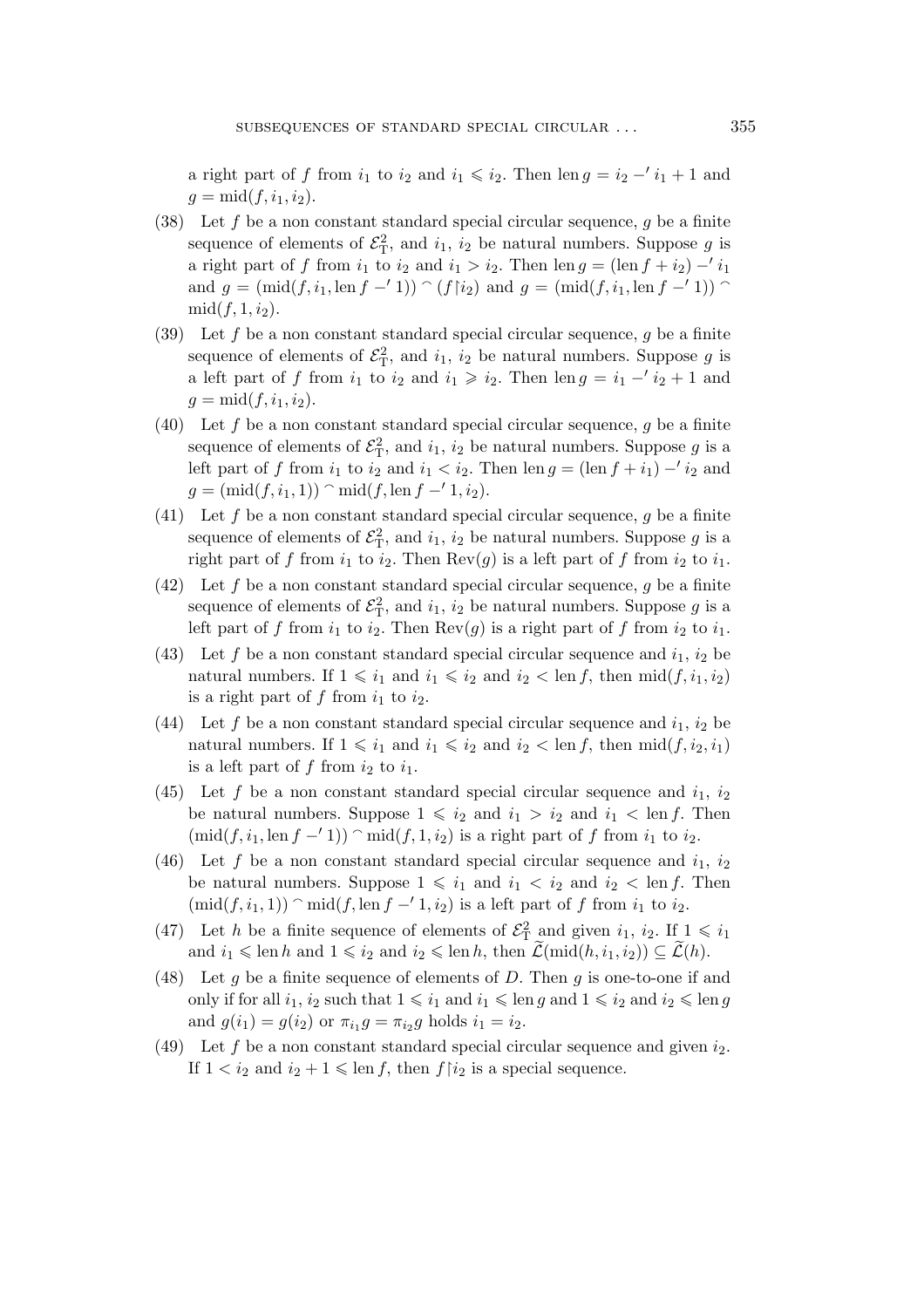a right part of f from  $i_1$  to  $i_2$  and  $i_1 \leq i_2$ . Then len  $g = i_2 - i_1 + 1$  and  $q = \text{mid}(f, i_1, i_2).$ 

- (38) Let f be a non constant standard special circular sequence, q be a finite sequence of elements of  $\mathcal{E}_{\rm T}^2$ , and  $i_1$ ,  $i_2$  be natural numbers. Suppose g is a right part of f from  $i_1$  to  $i_2$  and  $i_1 > i_2$ . Then len  $g = (\text{len } f + i_2) - i_1$ and  $g = (\text{mid}(f, i_1, \text{len } f -' 1)) \cap (f | i_2)$  and  $g = (\text{mid}(f, i_1, \text{len } f -' 1)) \cap (f | i_2)$  $mid(f, 1, i_2).$
- (39) Let f be a non constant standard special circular sequence, q be a finite sequence of elements of  $\mathcal{E}_{\rm T}^2$ , and  $i_1$ ,  $i_2$  be natural numbers. Suppose g is a left part of f from  $i_1$  to  $i_2$  and  $i_1 \geq i_2$ . Then len  $g = i_1 - i_2 + 1$  and  $g = \text{mid}(f, i_1, i_2).$
- (40) Let f be a non constant standard special circular sequence, g be a finite sequence of elements of  $\mathcal{E}_T^2$ , and  $i_1$ ,  $i_2$  be natural numbers. Suppose g is a left part of f from  $i_1$  to  $i_2$  and  $i_1 < i_2$ . Then len  $g = (\text{len } f + i_1) - i_2$  and  $g = (\text{mid}(f, i_1, 1))$  mid $(f, \text{len } f - 1, i_2)$ .
- (41) Let f be a non constant standard special circular sequence, g be a finite sequence of elements of  $\mathcal{E}_T^2$ , and  $i_1$ ,  $i_2$  be natural numbers. Suppose g is a right part of f from  $i_1$  to  $i_2$ . Then  $\text{Rev}(g)$  is a left part of f from  $i_2$  to  $i_1$ .
- (42) Let f be a non constant standard special circular sequence, g be a finite sequence of elements of  $\mathcal{E}_T^2$ , and  $i_1$ ,  $i_2$  be natural numbers. Suppose g is a left part of f from  $i_1$  to  $i_2$ . Then  $\text{Rev}(g)$  is a right part of f from  $i_2$  to  $i_1$ .
- (43) Let f be a non constant standard special circular sequence and  $i_1$ ,  $i_2$  be natural numbers. If  $1 \leq i_1$  and  $i_1 \leq i_2$  and  $i_2 < \text{len } f$ , then mid $(f, i_1, i_2)$ is a right part of f from  $i_1$  to  $i_2$ .
- (44) Let f be a non constant standard special circular sequence and  $i_1$ ,  $i_2$  be natural numbers. If  $1 \leq i_1$  and  $i_1 \leq i_2$  and  $i_2 < \text{len } f$ , then  $\text{mid}(f, i_2, i_1)$ is a left part of f from  $i_2$  to  $i_1$ .
- (45) Let f be a non constant standard special circular sequence and  $i_1$ ,  $i_2$ be natural numbers. Suppose  $1 \leq i_2$  and  $i_1 > i_2$  and  $i_1 < \text{len } f$ . Then  $(\text{mid}(f, i_1, \text{len } f -' 1))$  mid $(f, 1, i_2)$  is a right part of f from  $i_1$  to  $i_2$ .
- (46) Let f be a non constant standard special circular sequence and  $i_1$ ,  $i_2$ be natural numbers. Suppose  $1 \leq i_1$  and  $i_1 < i_2$  and  $i_2 < \text{len } f$ . Then  $(\text{mid}(f, i_1, 1))$  mid $(f, \text{len } f - '1, i_2)$  is a left part of f from  $i_1$  to  $i_2$ .
- (47) Let h be a finite sequence of elements of  $\mathcal{E}_{\rm T}^2$  and given  $i_1, i_2$ . If  $1 \leq i_1$ and  $i_1 \leqslant \text{len } h$  and  $1 \leqslant i_2$  and  $i_2 \leqslant \text{len } h$ , then  $\mathcal{L}(\text{mid}(h, i_1, i_2)) \subseteq \mathcal{L}(h)$ .
- (48) Let q be a finite sequence of elements of D. Then q is one-to-one if and only if for all  $i_1$ ,  $i_2$  such that  $1 \leq i_1$  and  $i_1 \leq \text{len } g$  and  $1 \leq i_2$  and  $i_2 \leq \text{len } g$ and  $g(i_1) = g(i_2)$  or  $\pi_{i_1} g = \pi_{i_2} g$  holds  $i_1 = i_2$ .
- (49) Let f be a non constant standard special circular sequence and given  $i_2$ . If  $1 < i_2$  and  $i_2 + 1 \leq \text{len } f$ , then  $f \mid i_2$  is a special sequence.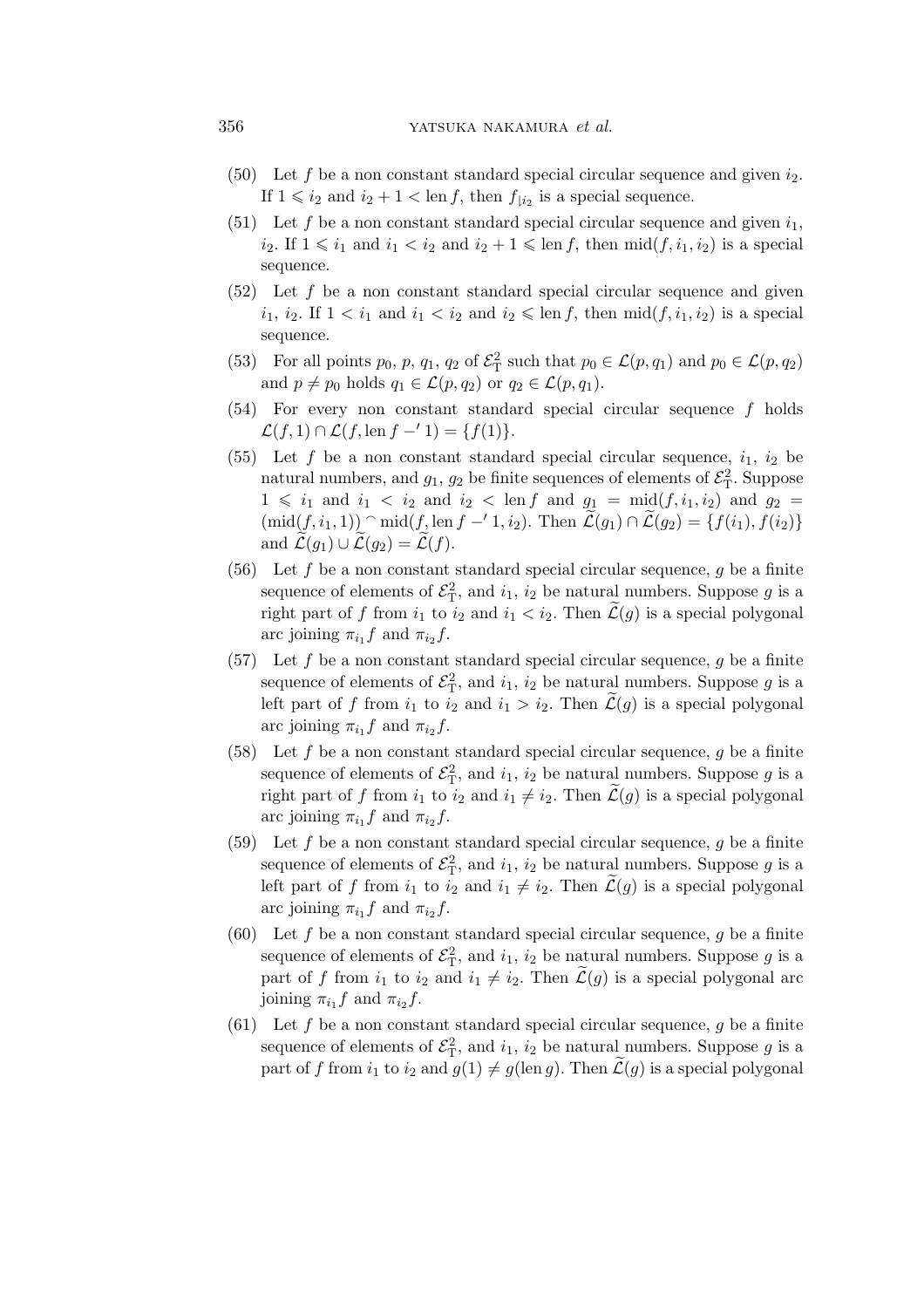## 356 yatsuka nakamura *et al.*

- (50) Let f be a non constant standard special circular sequence and given  $i_2$ . If  $1 \leq i_2$  and  $i_2 + 1 < \text{len } f$ , then  $f_{\vert i_2}$  is a special sequence.
- (51) Let f be a non constant standard special circular sequence and given  $i_1$ ,  $i_2$ . If  $1 \leq i_1$  and  $i_1 < i_2$  and  $i_2 + 1 \leq \text{len } f$ , then mid $(f, i_1, i_2)$  is a special sequence.
- (52) Let f be a non constant standard special circular sequence and given  $i_1, i_2$ . If  $1 < i_1$  and  $i_1 < i_2$  and  $i_2 \leqslant \text{len } f$ , then  $\text{mid}(f, i_1, i_2)$  is a special sequence.
- (53) For all points  $p_0, p, q_1, q_2$  of  $\mathcal{E}_T^2$  such that  $p_0 \in \mathcal{L}(p,q_1)$  and  $p_0 \in \mathcal{L}(p,q_2)$ and  $p \neq p_0$  holds  $q_1 \in \mathcal{L}(p,q_2)$  or  $q_2 \in \mathcal{L}(p,q_1)$ .
- (54) For every non constant standard special circular sequence f holds  $\mathcal{L}(f, 1) \cap \mathcal{L}(f, \text{len } f - '1) = \{f(1)\}.$
- (55) Let f be a non constant standard special circular sequence,  $i_1$ ,  $i_2$  be natural numbers, and  $g_1, g_2$  be finite sequences of elements of  $\mathcal{E}^2_T$ . Suppose  $1 \leq i_1$  and  $i_1 < i_2$  and  $i_2 < \text{len } f$  and  $g_1 = \text{mid}(f, i_1, i_2)$  and  $g_2 =$  $(\text{mid}(f, i_1, 1))$  mid $(f, \text{len } f - '1, i_2)$ . Then  $\widetilde{\mathcal{L}}(g_1) \cap \widetilde{\mathcal{L}}(g_2) = \{f(i_1), f(i_2)\}$ and  $\mathcal{L}(q_1) \cup \mathcal{L}(q_2) = \mathcal{L}(f)$ .
- (56) Let f be a non constant standard special circular sequence, q be a finite sequence of elements of  $\mathcal{E}_T^2$ , and  $i_1$ ,  $i_2$  be natural numbers. Suppose g is a right part of f from  $i_1$  to  $i_2$  and  $i_1 < i_2$ . Then  $\mathcal{L}(g)$  is a special polygonal arc joining  $\pi_{i_1} f$  and  $\pi_{i_2} f$ .
- (57) Let f be a non constant standard special circular sequence, g be a finite sequence of elements of  $\mathcal{E}_T^2$ , and  $i_1$ ,  $i_2$  be natural numbers. Suppose g is a left part of f from  $i_1$  to  $i_2$  and  $i_1 > i_2$ . Then  $\tilde{\mathcal{L}}(g)$  is a special polygonal arc joining  $\pi_{i_1} f$  and  $\pi_{i_2} f$ .
- (58) Let f be a non constant standard special circular sequence, g be a finite sequence of elements of  $\mathcal{E}_T^2$ , and  $i_1$ ,  $i_2$  be natural numbers. Suppose g is a right part of f from  $i_1$  to  $i_2$  and  $i_1 \neq i_2$ . Then  $\mathcal{L}(g)$  is a special polygonal arc joining  $\pi_{i_1} f$  and  $\pi_{i_2} f$ .
- (59) Let f be a non constant standard special circular sequence, g be a finite sequence of elements of  $\mathcal{E}_T^2$ , and  $i_1$ ,  $i_2$  be natural numbers. Suppose g is a left part of f from  $i_1$  to  $i_2$  and  $i_1 \neq i_2$ . Then  $\mathcal{L}(g)$  is a special polygonal arc joining  $\pi_{i_1} f$  and  $\pi_{i_2} f$ .
- $(60)$  Let f be a non constant standard special circular sequence, g be a finite sequence of elements of  $\mathcal{E}_T^2$ , and  $i_1$ ,  $i_2$  be natural numbers. Suppose g is a part of f from  $i_1$  to  $i_2$  and  $i_1 \neq i_2$ . Then  $\mathcal{L}(g)$  is a special polygonal arc joining  $\pi_{i_1} f$  and  $\pi_{i_2} f$ .
- (61) Let f be a non constant standard special circular sequence, g be a finite sequence of elements of  $\mathcal{E}_T^2$ , and  $i_1$ ,  $i_2$  be natural numbers. Suppose g is a part of f from  $i_1$  to  $i_2$  and  $g(1) \neq g(\text{len } g)$ . Then  $\widetilde{\mathcal{L}}(g)$  is a special polygonal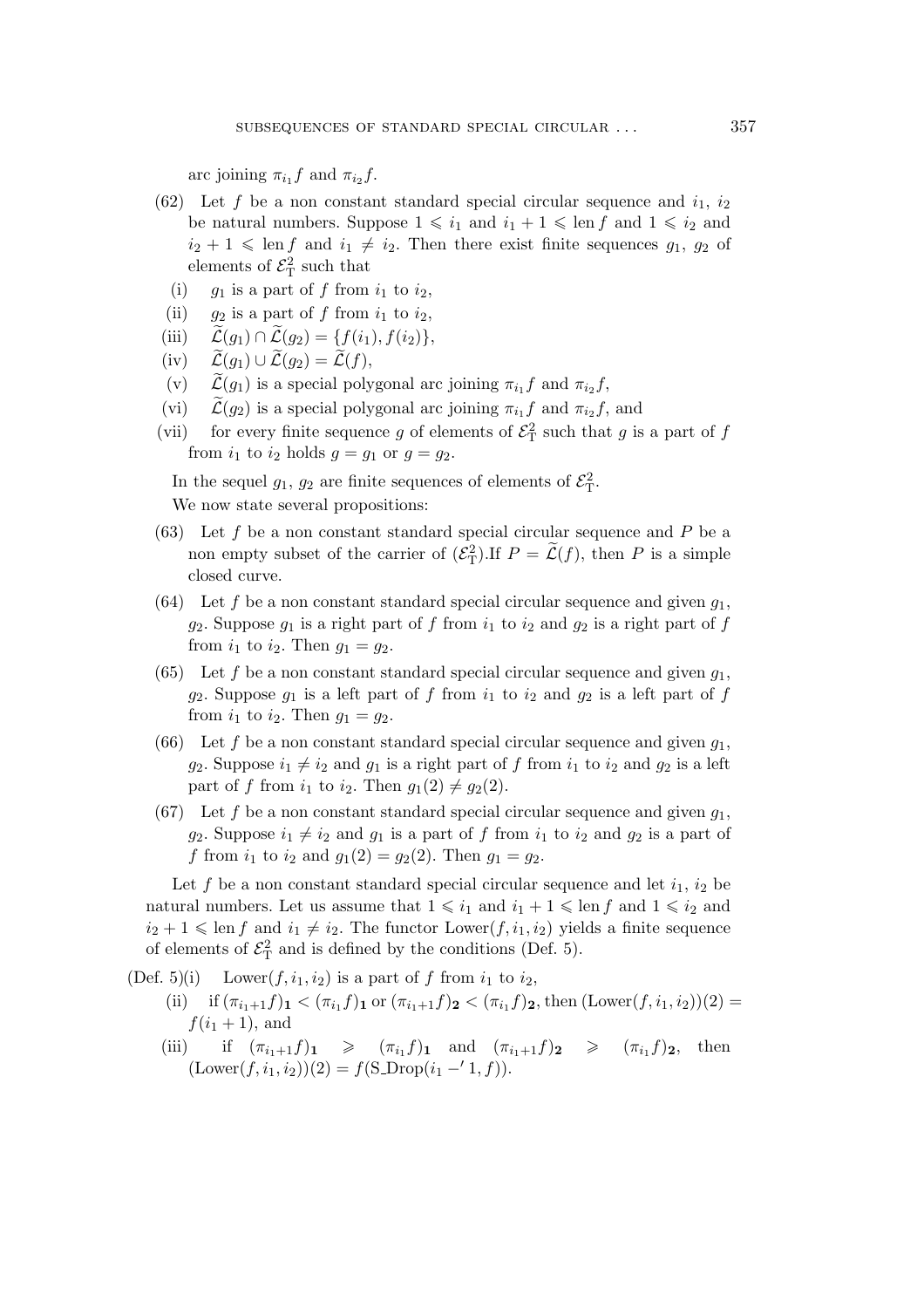arc joining  $\pi_{i_1} f$  and  $\pi_{i_2} f$ .

- (62) Let f be a non constant standard special circular sequence and  $i_1$ ,  $i_2$ be natural numbers. Suppose  $1 \leq i_1$  and  $i_1 + 1 \leq \text{len } f$  and  $1 \leq i_2$  and  $i_2 + 1 \leq \text{len } f \text{ and } i_1 \neq i_2.$  Then there exist finite sequences  $g_1, g_2$  of elements of  $\mathcal{E}_{\rm T}^2$  such that
	- (i) g<sub>1</sub> is a part of f from  $i_1$  to  $i_2$ ,
	- (ii)  $g_2$  is a part of f from  $i_1$  to  $i_2$ ,
- (iii)  $\widetilde{\mathcal{L}}(q_1) \cap \widetilde{\mathcal{L}}(q_2) = \{f(i_1), f(i_2)\},\$
- $\widetilde{\mathcal{L}}(q_1) \cup \widetilde{\mathcal{L}}(q_2) = \widetilde{\mathcal{L}}(f),$
- (v)  $\mathcal{L}(g_1)$  is a special polygonal arc joining  $\pi_{i_1} f$  and  $\pi_{i_2} f$ ,
- (vi)  $\mathcal{L}(g_2)$  is a special polygonal arc joining  $\pi_{i_1} f$  and  $\pi_{i_2} f$ , and
- (vii) for every finite sequence g of elements of  $\mathcal{E}^2_T$  such that g is a part of f from  $i_1$  to  $i_2$  holds  $q = q_1$  or  $q = q_2$ .

In the sequel  $g_1, g_2$  are finite sequences of elements of  $\mathcal{E}_T^2$ .

We now state several propositions:

- $(63)$  Let f be a non constant standard special circular sequence and P be a non empty subset of the carrier of  $(\mathcal{E}_{\mathcal{T}}^2)$ .If  $P = \tilde{\mathcal{L}}(f)$ , then P is a simple closed curve.
- (64) Let f be a non constant standard special circular sequence and given  $g_1$ ,  $g_2$ . Suppose  $g_1$  is a right part of f from  $i_1$  to  $i_2$  and  $g_2$  is a right part of f from  $i_1$  to  $i_2$ . Then  $g_1 = g_2$ .
- (65) Let f be a non constant standard special circular sequence and given  $q_1$ ,  $g_2$ . Suppose  $g_1$  is a left part of f from  $i_1$  to  $i_2$  and  $g_2$  is a left part of f from  $i_1$  to  $i_2$ . Then  $g_1 = g_2$ .
- (66) Let f be a non constant standard special circular sequence and given  $q_1$ ,  $g_2$ . Suppose  $i_1 \neq i_2$  and  $g_1$  is a right part of f from  $i_1$  to  $i_2$  and  $g_2$  is a left part of f from  $i_1$  to  $i_2$ . Then  $g_1(2) \neq g_2(2)$ .
- (67) Let f be a non constant standard special circular sequence and given  $q_1$ ,  $g_2$ . Suppose  $i_1 \neq i_2$  and  $g_1$  is a part of f from  $i_1$  to  $i_2$  and  $g_2$  is a part of f from  $i_1$  to  $i_2$  and  $g_1(2) = g_2(2)$ . Then  $g_1 = g_2$ .

Let f be a non constant standard special circular sequence and let  $i_1$ ,  $i_2$  be natural numbers. Let us assume that  $1 \leq i_1$  and  $i_1 + 1 \leq \text{len } f$  and  $1 \leq i_2$  and  $i_2 + 1 \leq \text{len } f$  and  $i_1 \neq i_2$ . The functor Lower $(f, i_1, i_2)$  yields a finite sequence of elements of  $\mathcal{E}_T^2$  and is defined by the conditions (Def. 5).

(Def. 5)(i) Lower( $f, i_1, i_2$ ) is a part of f from  $i_1$  to  $i_2$ ,

- (ii) if  $(\pi_{i_1+1}f)_1 < (\pi_{i_1}f)_1$  or  $(\pi_{i_1+1}f)_2 < (\pi_{i_1}f)_2$ , then  $(\text{Lower}(f, i_1, i_2))(2)$  $f(i_1 + 1)$ , and
- (iii) if  $(\pi_{i_1+1}f)_1 \geqslant (\pi_{i_1}f)_1$  and  $(\pi_{i_1+1}f)_2 \geqslant (\pi_{i_1}f)_2$ , then  $(Lower(f, i_1, i_2))(2) = f(S\_Drop(i_1 - '1, f)).$